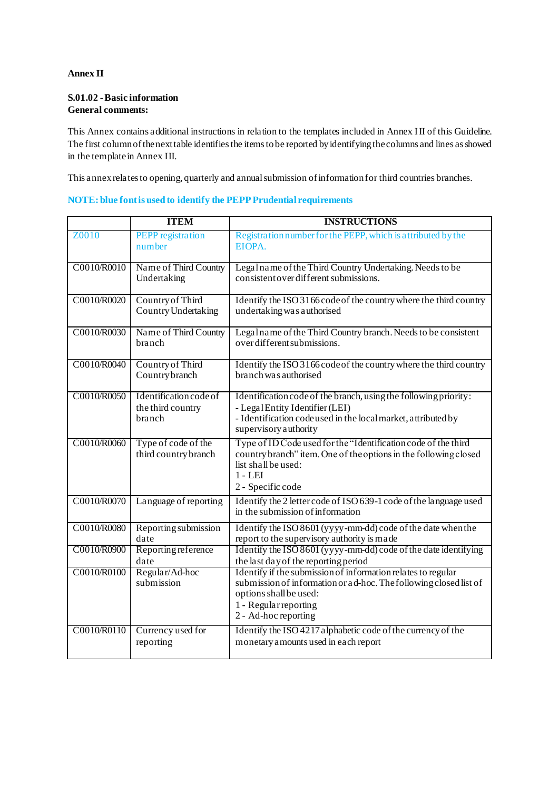## **Annex II**

## **S.01.02 -Basic information General comments:**

This Annex contains additional instructions in relation to the templates included in Annex III of this Guideline. The first column of the next table identifies the items to be reported by identifying the columns and lines as showed in the template in Annex III.

This annex relates to opening, quarterly and annual submission of information for third countries branches.

## **NOTE: blue font is used to identify the PEPP Prudential requirements**

|             | <b>ITEM</b>                                           | <b>INSTRUCTIONS</b>                                                                                                                                                                                           |
|-------------|-------------------------------------------------------|---------------------------------------------------------------------------------------------------------------------------------------------------------------------------------------------------------------|
| Z0010       | <b>PEPP</b> registration<br>number                    | Registration number for the PEPP, which is attributed by the<br>EIOPA.                                                                                                                                        |
| C0010/R0010 | Name of Third Country<br>Undertaking                  | Legalname of the Third Country Undertaking. Needs to be<br>consistent over different submissions.                                                                                                             |
| C0010/R0020 | Country of Third<br>Country Undertaking               | Identify the ISO 3166 code of the country where the third country<br>undertaking was authorised                                                                                                               |
| C0010/R0030 | Name of Third Country<br>branch                       | Lega1name of the Third Country branch. Needs to be consistent<br>over different submissions.                                                                                                                  |
| C0010/R0040 | Country of Third<br>Country branch                    | Identify the ISO 3166 code of the country where the third country<br>branch was authorised                                                                                                                    |
| C0010/R0050 | Identification code of<br>the third country<br>branch | Identification code of the branch, using the following priority:<br>- Legal Entity Identifier (LEI)<br>- Identification code used in the local market, attributed by<br>supervisory authority                 |
| C0010/R0060 | Type of code of the<br>third country branch           | Type of ID Code used for the "Identification code of the third<br>country branch" item. One of the options in the following closed<br>list shall be used:<br>$1 - LEI$<br>2 - Specific code                   |
| C0010/R0070 | Language of reporting                                 | Identify the 2 letter code of ISO 639-1 code of the language used<br>in the submission of information                                                                                                         |
| C0010/R0080 | Reporting submission<br>date                          | Identify the ISO 8601 (yyyy-mm-dd) code of the date when the<br>report to the supervisory authority is made                                                                                                   |
| C0010/R0900 | Reporting reference<br>date                           | Identify the ISO 8601 (yyyy-mm-dd) code of the date identifying<br>the last day of the reporting period                                                                                                       |
| C0010/R0100 | Regular/Ad-hoc<br>submission                          | Identify if the submission of information relates to regular<br>submission of information or a d-hoc. The following closed list of<br>options shall be used:<br>1 - Regular reporting<br>2 - Ad-hoc reporting |
| C0010/R0110 | Currency used for<br>reporting                        | Identify the ISO 4217 alphabetic code of the currency of the<br>monetary a mounts used in each report                                                                                                         |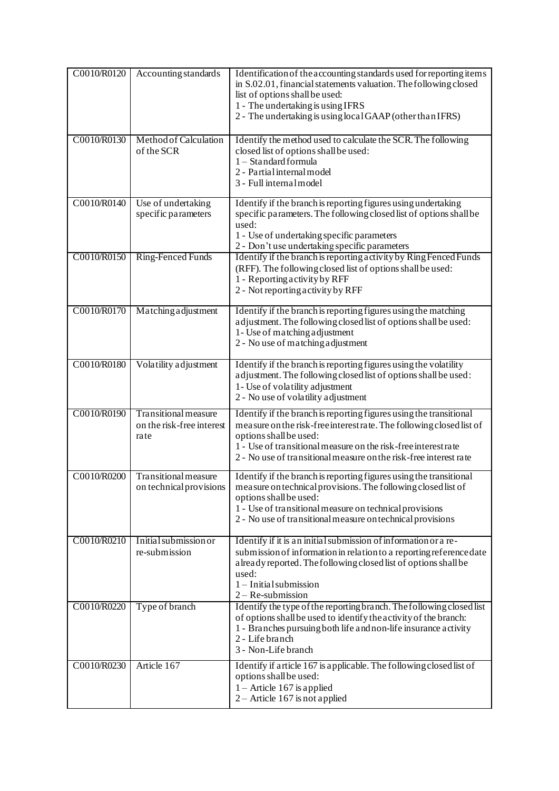| C0010/R0120 | Accounting standards                                      | Identification of the accounting standards used for reporting items<br>in S.02.01, financial statements valuation. The following closed<br>list of options shall be used:<br>1 - The undertaking is using IFRS<br>2 - The undertaking is using local GAAP (other than IFRS)                               |
|-------------|-----------------------------------------------------------|-----------------------------------------------------------------------------------------------------------------------------------------------------------------------------------------------------------------------------------------------------------------------------------------------------------|
| C0010/R0130 | Method of Calculation<br>of the SCR                       | Identify the method used to calculate the SCR. The following<br>closed list of options shall be used:<br>1 - Standard formula<br>2 - Partial internal model<br>3 - Full internal model                                                                                                                    |
| C0010/R0140 | Use of undertaking<br>specific parameters                 | Identify if the branch is reporting figures using undertaking<br>specific parameters. The following closed list of options shall be<br>used:<br>1 - Use of undertaking specific parameters<br>2 - Don't use undertaking specific parameters                                                               |
| C0010/R0150 | <b>Ring-Fenced Funds</b>                                  | Identify if the branch is reporting activity by Ring Fenced Funds<br>(RFF). The following closed list of options shall be used:<br>1 - Reporting activity by RFF<br>2 - Not reporting activity by RFF                                                                                                     |
| C0010/R0170 | Matching adjustment                                       | Identify if the branch is reporting figures using the matching<br>adjustment. The following closed list of options shall be used:<br>1- Use of matching adjustment<br>2 - No use of matching adjustment                                                                                                   |
| C0010/R0180 | Volatility adjustment                                     | Identify if the branch is reporting figures using the volatility<br>adjustment. The following closed list of options shall be used:<br>1- Use of volatility adjustment<br>2 - No use of volatility adjustment                                                                                             |
| C0010/R0190 | Transitional measure<br>on the risk-free interest<br>rate | Identify if the branch is reporting figures using the transitional<br>measure on the risk-free interestrate. The following closed list of<br>options shall be used:<br>1 - Use of transitional measure on the risk-free interestrate<br>2 - No use of transitional measure on the risk-free interest rate |
| C0010/R0200 | Transitional measure<br>on technical provisions           | Identify if the branch is reporting figures using the transitional<br>measure on technical provisions. The following closed list of<br>options shall be used:<br>1 - Use of transitional measure on technical provisions<br>2 - No use of transitional measure on technical provisions                    |
| C0010/R0210 | Initial submission or<br>re-submission                    | Identify if it is an initial submission of information or a re-<br>submission of information in relation to a reporting reference date<br>a lready reported. The following closed list of options shall be<br>used:<br>1-Initial submission<br>$2 - Re-submission$                                        |
| C0010/R0220 | Type of branch                                            | Identify the type of the reporting branch. The following closed list<br>of options shall be used to identify the activity of the branch:<br>1 - Branches pursuing both life and non-life insurance activity<br>2 - Life branch<br>3 - Non-Life branch                                                     |
| C0010/R0230 | Article 167                                               | Identify if article 167 is applicable. The following closed list of<br>options shall be used:<br>1 – Article 167 is applied<br>$2 -$ Article 167 is not applied                                                                                                                                           |